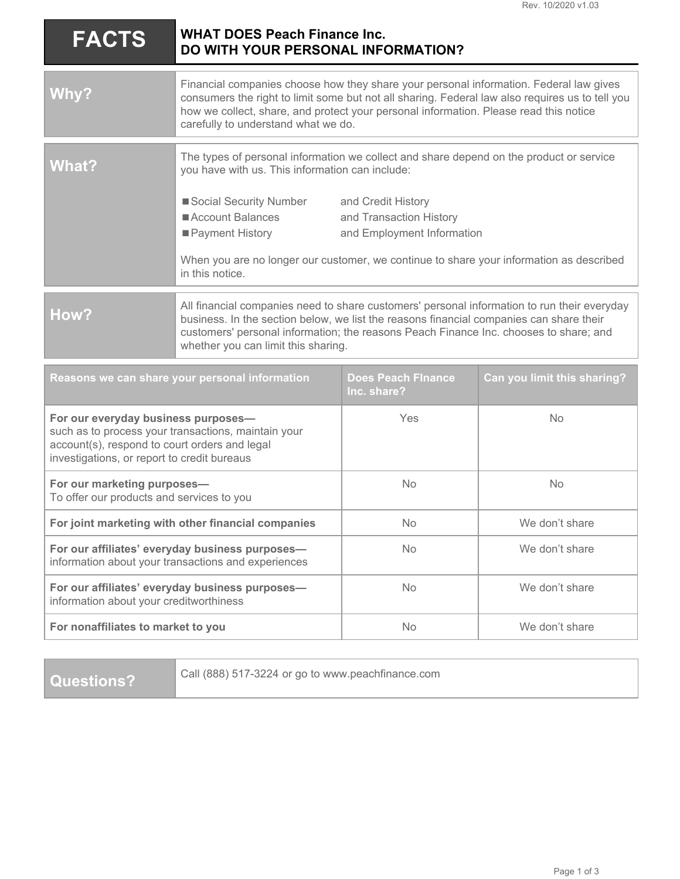| <b>FACTS</b>                                                                                                                                                                               | <b>WHAT DOES Peach Finance Inc.</b><br>DO WITH YOUR PERSONAL INFORMATION?                                                                                                                                                                                                                                                 |                                                                             |                             |
|--------------------------------------------------------------------------------------------------------------------------------------------------------------------------------------------|---------------------------------------------------------------------------------------------------------------------------------------------------------------------------------------------------------------------------------------------------------------------------------------------------------------------------|-----------------------------------------------------------------------------|-----------------------------|
| Why?                                                                                                                                                                                       | Financial companies choose how they share your personal information. Federal law gives<br>consumers the right to limit some but not all sharing. Federal law also requires us to tell you<br>how we collect, share, and protect your personal information. Please read this notice<br>carefully to understand what we do. |                                                                             |                             |
| <b>What?</b>                                                                                                                                                                               | The types of personal information we collect and share depend on the product or service<br>you have with us. This information can include:                                                                                                                                                                                |                                                                             |                             |
|                                                                                                                                                                                            | Social Security Number<br>Account Balances<br>■ Payment History<br>When you are no longer our customer, we continue to share your information as described<br>in this notice.                                                                                                                                             | and Credit History<br>and Transaction History<br>and Employment Information |                             |
| How?                                                                                                                                                                                       | All financial companies need to share customers' personal information to run their everyday<br>business. In the section below, we list the reasons financial companies can share their<br>customers' personal information; the reasons Peach Finance Inc. chooses to share; and<br>whether you can limit this sharing.    |                                                                             |                             |
| Reasons we can share your personal information                                                                                                                                             |                                                                                                                                                                                                                                                                                                                           | <b>Does Peach Finance</b><br>Inc. share?                                    | Can you limit this sharing? |
| For our everyday business purposes-<br>such as to process your transactions, maintain your<br>account(s), respond to court orders and legal<br>investigations, or report to credit bureaus |                                                                                                                                                                                                                                                                                                                           | Yes                                                                         | <b>No</b>                   |
| For our marketing purposes-<br>To offer our products and services to you                                                                                                                   |                                                                                                                                                                                                                                                                                                                           | <b>No</b>                                                                   | <b>No</b>                   |
| For joint marketing with other financial companies                                                                                                                                         |                                                                                                                                                                                                                                                                                                                           | No.                                                                         | We don't share              |
| For our affiliates' everyday business purposes-<br>information about your transactions and experiences                                                                                     |                                                                                                                                                                                                                                                                                                                           | <b>No</b>                                                                   | We don't share              |
| For our affiliates' everyday business purposes-<br>information about your creditworthiness                                                                                                 |                                                                                                                                                                                                                                                                                                                           | <b>No</b>                                                                   | We don't share              |
| For nonaffiliates to market to you                                                                                                                                                         |                                                                                                                                                                                                                                                                                                                           | <b>No</b>                                                                   | We don't share              |

**Questions?**

Call (888) 517-3224 or go to www.peachfinance.com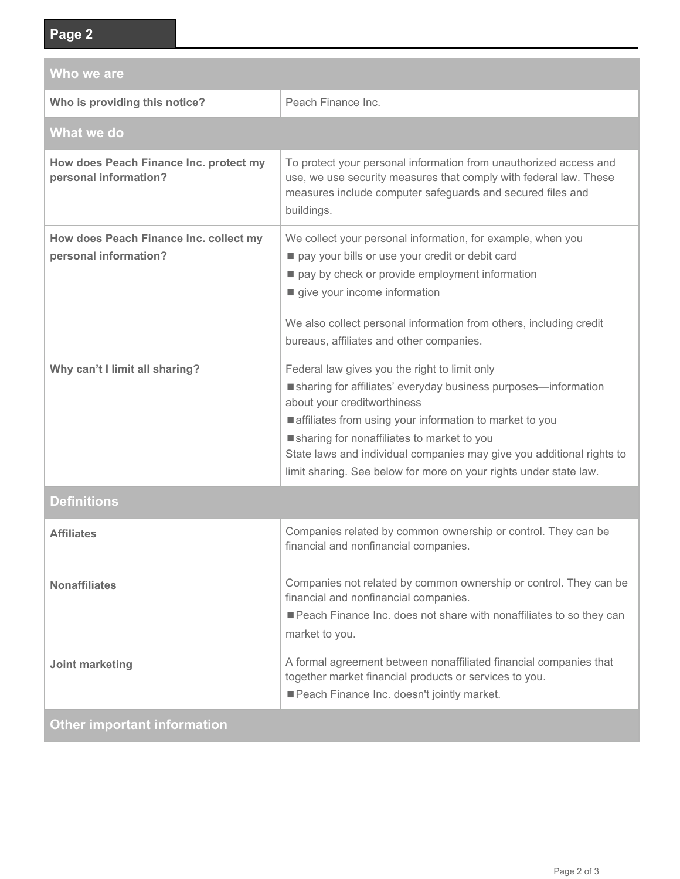| Who we are                                                      |                                                                                                                                                                                                                                                                                                                                                                                                       |  |  |
|-----------------------------------------------------------------|-------------------------------------------------------------------------------------------------------------------------------------------------------------------------------------------------------------------------------------------------------------------------------------------------------------------------------------------------------------------------------------------------------|--|--|
| Who is providing this notice?                                   | Peach Finance Inc.                                                                                                                                                                                                                                                                                                                                                                                    |  |  |
| What we do                                                      |                                                                                                                                                                                                                                                                                                                                                                                                       |  |  |
| How does Peach Finance Inc. protect my<br>personal information? | To protect your personal information from unauthorized access and<br>use, we use security measures that comply with federal law. These<br>measures include computer safeguards and secured files and<br>buildings.                                                                                                                                                                                    |  |  |
| How does Peach Finance Inc. collect my<br>personal information? | We collect your personal information, for example, when you<br>pay your bills or use your credit or debit card<br>pay by check or provide employment information<br>give your income information<br>We also collect personal information from others, including credit<br>bureaus, affiliates and other companies.                                                                                    |  |  |
| Why can't I limit all sharing?                                  | Federal law gives you the right to limit only<br>sharing for affiliates' everyday business purposes-information<br>about your creditworthiness<br>affiliates from using your information to market to you<br>sharing for nonaffiliates to market to you<br>State laws and individual companies may give you additional rights to<br>limit sharing. See below for more on your rights under state law. |  |  |
| <b>Definitions</b>                                              |                                                                                                                                                                                                                                                                                                                                                                                                       |  |  |
| <b>Affiliates</b>                                               | Companies related by common ownership or control. They can be<br>financial and nonfinancial companies.                                                                                                                                                                                                                                                                                                |  |  |
| <b>Nonaffiliates</b>                                            | Companies not related by common ownership or control. They can be<br>financial and nonfinancial companies.<br>Peach Finance Inc. does not share with nonaffiliates to so they can<br>market to you.                                                                                                                                                                                                   |  |  |
| Joint marketing                                                 | A formal agreement between nonaffiliated financial companies that<br>together market financial products or services to you.<br>Peach Finance Inc. doesn't jointly market.                                                                                                                                                                                                                             |  |  |
| <b>Other important information</b>                              |                                                                                                                                                                                                                                                                                                                                                                                                       |  |  |